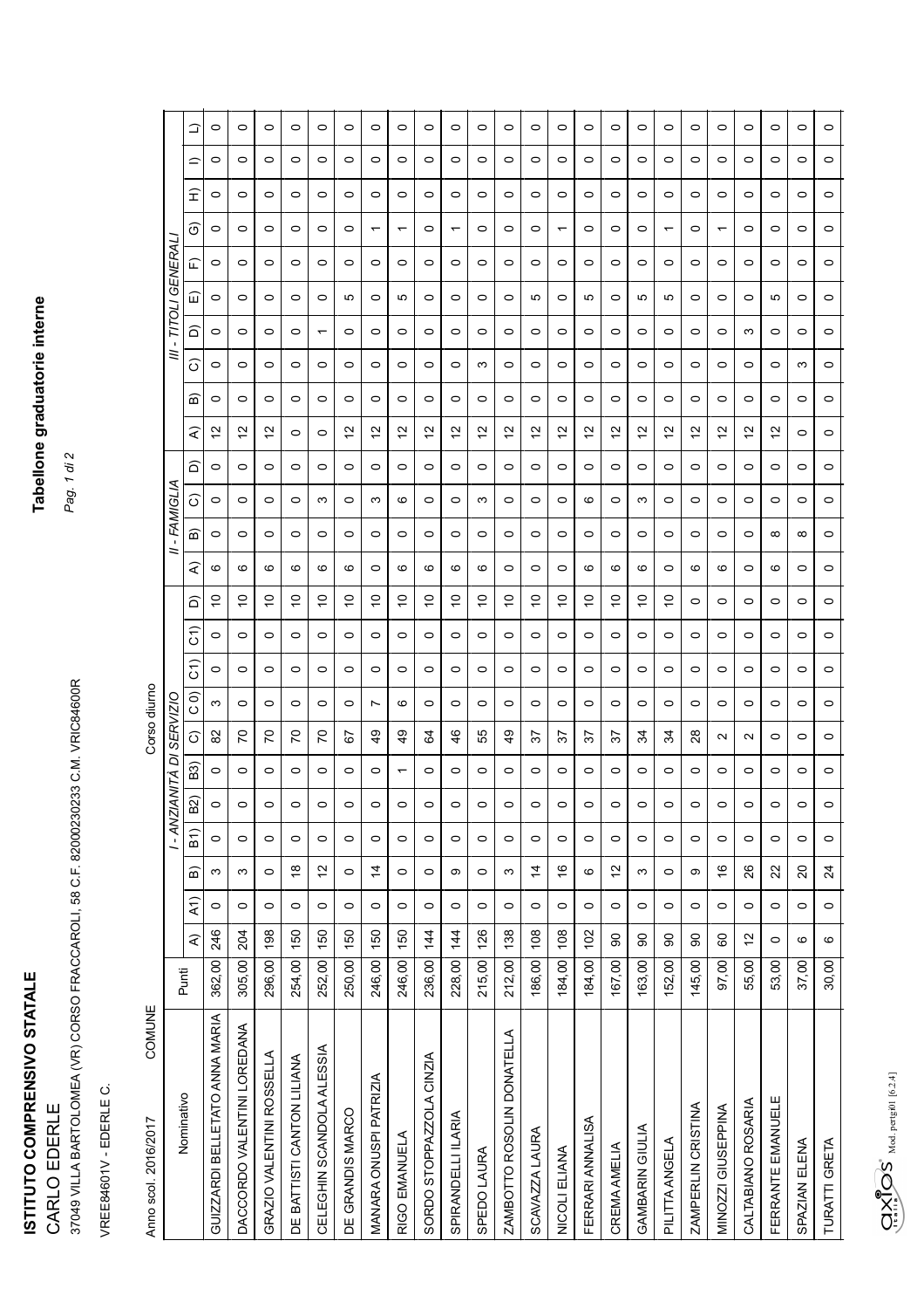ISTITUTO COMPRENSIVO STATALE **ISTITUTO COMPRENSIVO STATALE**  CARLO EDERLE CARLO EDERLE

## Tabellone graduatorie interne **Tabellone graduatorie interne**

*Pag. 1 di 2*

VREE84601V - EDERLE C. VREE84601V - EDERLE C.

37049 VILLA BARTOLOMEA (VR) CORSO FRACCAROLI, 58 C.F. 82000230233 C.M. VRIC84600R

37049 VILLA BARTOLOMEA (VR) CORSO FRACCAROLI, 58 C.F. 82000230233 C.M. VRIC84600R

| COMUNE<br>Anno scol. 2016/2017 |        |                         |                  |                 |                   |                |                          | Corso diurno      |                              |               |         |             |         |               |         |         |             |                    |                          |         |                  |                          |         |         |         |
|--------------------------------|--------|-------------------------|------------------|-----------------|-------------------|----------------|--------------------------|-------------------|------------------------------|---------------|---------|-------------|---------|---------------|---------|---------|-------------|--------------------|--------------------------|---------|------------------|--------------------------|---------|---------|---------|
|                                |        |                         |                  |                 | $1 - ANZ$         |                |                          | ANITÀ DI SERVIZIC |                              |               |         |             |         | II - FAMIGLIA |         |         |             |                    | ≡                        |         | - TITOLI GENERAI |                          |         |         |         |
| Nominativo                     | Punti  | $\widehat{\mathcal{L}}$ | $\widehat{A}$ 1) | a)              | $\overline{B}$ 1) | B <sub>2</sub> | <b>B3</b>                | $\widehat{\circ}$ | $\widehat{\circ}$<br>$\circ$ | $\widehat{5}$ | Ĝ       | ه           | ₹       | ⋒             | ි       | ô       | ₹           | ි<br>☎             | ධ                        | 冚       | ๔                | ဖြ                       | £       | ≘       | ≏       |
| GUIZZARDI BELLETATO ANNA MARIA | 362,00 | 246                     | $\circ$          | S               | $\circ$           |                | 0                        | 8                 | S                            | $\circ$       | 0       | S           | ဖ       | $\circ$       | 0       | $\circ$ | $\tilde{c}$ | 0<br>$\circ$       | 0                        | $\circ$ | 0                | 0                        | 0       | 0       | 0       |
| DACCORDO VALENTINI LOREDANA    | 305,00 | 204                     | $\circ$          | S               | $\circ$           |                | 0                        | 20                | $\circ$                      | $\circ$       | $\circ$ | 5           | ဖ       | $\circ$       | 0       | $\circ$ | 51          | 0<br>0             | 0                        | 0       | 0                | 0                        | $\circ$ | 0       | 0       |
| GRAZIO VALENTINI ROSSELLA      | 296,00 | 198                     | $\circ$          | 0               | 0                 |                | 0                        | 50                | 0                            | $\circ$       | 0       | S           | ဖ       | 0             | 0       | 0       | 57          | 0<br>0             | 0                        | 0       | 0                | 0                        | 0       | 0       | 0       |
| DE BATTISTI CANTON LILIANA     | 254,00 | 150                     | $\circ$          | $\frac{8}{1}$   | $\circ$           |                | 0                        | 20                | $\circ$                      | $\circ$       | 0       | S           | ဖ       | $\circ$       | 0       | 0       | 0           | 0<br>0             | 0                        | $\circ$ | 0                | $\circ$                  | 0       | 0       | 0       |
| CELEGHIN SCANDOLA ALESSIA      | 252,00 | 150                     | $\circ$          | $\tilde{c}$     | $\circ$           | ◠              | $\circ$                  | 20                | $\circ$                      | $\circ$       | 0       | 5           | ဖ       | $\circ$       | က       | $\circ$ | $\circ$     | $\circ$<br>$\circ$ | $\overline{\phantom{0}}$ | $\circ$ | $\circ$          | $\circ$                  | $\circ$ | $\circ$ | $\circ$ |
| DE GRANDIS MARCO               | 250,00 | 150                     | $\circ$          | $\circ$         | $\circ$           | ⌒              | 0                        | 5                 | 0                            | $\circ$       | $\circ$ | S           | ဖ       | $\circ$       | 0       | $\circ$ | 51          | $\circ$<br>$\circ$ | $\circ$                  | Ю       | $\circ$          | $\circ$                  | $\circ$ | $\circ$ | 0       |
| MANARA ONUSPI PATRIZIA         | 246,00 | 150                     | $\circ$          | $\overline{4}$  | $\circ$           |                | 0                        | ą,                | $\overline{ }$               | $\circ$       | 0       | $\tilde{c}$ | 0       | $\circ$       | ω       | 0       | 51          | 0<br>$\circ$       | 0                        | 0       | 0                | $\overline{\phantom{0}}$ | 0       | 0       | 0       |
| RIGO EMANUELA                  | 246,00 | 150                     | $\circ$          | $\circ$         | $\circ$           |                | $\overline{\phantom{0}}$ | \$                | ဖ                            | $\circ$       | $\circ$ | S           | ဖ       | $\circ$       | ဖ       | $\circ$ | $\tilde{c}$ | 0<br>$\circ$       | $\circ$                  | ю       | $\circ$          | $\overline{\phantom{0}}$ | 0       | 0       | 0       |
| SORDO STOPPAZZOLA CINZIA       | 236,00 | $\frac{4}{4}$           | $\circ$          | $\circ$         | $\circ$           | $\circ$        | 0                        | 34                | 0                            | $\circ$       | $\circ$ | S           | ဖ       | $\circ$       | 0       | $\circ$ | $\tilde{c}$ | $\circ$<br>$\circ$ | $\circ$                  | 0       | $\circ$          | $\circ$                  | $\circ$ | $\circ$ | 0       |
| SPIRANDELLI ILARIA             | 228,00 | $\frac{1}{4}$           | $\circ$          | တ               | $\circ$           |                | 0                        | \$                | 0                            | 0             | 0       | S           | ဖ       | $\circ$       | 0       | 0       | 51          | 0<br>0             | 0                        | $\circ$ | 0                | ↽                        | 0       | 0       | 0       |
| SPEDO LAURA                    | 215,00 | 126                     | $\circ$          | $\circ$         | $\circ$           | ◠              | 0                        | 55                | $\circ$                      | $\circ$       | $\circ$ | S           | ဖ       | $\circ$       | ω       | $\circ$ | $\tilde{c}$ | ω<br>$\circ$       | $\circ$                  | $\circ$ | $\circ$          | $\circ$                  | $\circ$ | $\circ$ | 0       |
| ZAMBOTTO ROSOLIN DONATELLA     | 212,00 | 138                     | $\circ$          | S               | $\circ$           | ◠              | 0                        | $\frac{9}{4}$     | 0                            | $\circ$       | $\circ$ | 5           | 0       | $\circ$       | 0       | $\circ$ | $\tilde{c}$ | 0<br>$\circ$       | $\circ$                  | 0       | $\circ$          | $\circ$                  | 0       | 0       | 0       |
| SCAVAZZA LAURA                 | 186,00 | 108                     | $\circ$          | $\dot{4}$       | $\circ$           |                | 0                        | 57                | $\circ$                      | $\circ$       | $\circ$ | 5           | $\circ$ | $\circ$       | $\circ$ | $\circ$ | $\tilde{c}$ | $\circ$<br>$\circ$ | $\circ$                  | ю       | $\circ$          | $\circ$                  | $\circ$ | $\circ$ | 0       |
| NICOLI ELIANA                  | 184,00 | 108                     | $\circ$          | $\frac{6}{1}$   | $\circ$           |                | $\circ$                  | 57                | $\circ$                      | $\circ$       | 0       | S           | $\circ$ | $\circ$       | 0       | $\circ$ | 51          | $\circ$<br>$\circ$ | $\circ$                  | $\circ$ | 0                | $\overline{\phantom{0}}$ | $\circ$ | $\circ$ | 0       |
| FERRARI ANNALISA               | 184,00 | $\overline{5}$          | $\circ$          | ဖ               | $\circ$           |                | 0                        | 57                | 0                            | 0             | 0       | S           | ဖ       | $\circ$       | ဖ       | 0       | 51          | 0<br>0             | 0                        | ю       | 0                | 0                        | 0       | 0       | 0       |
| <b>CREMA AMELIA</b>            | 167,00 | 90                      | $\circ$          | 57              | $\circ$           | ◠              | 0                        | 57                | $\circ$                      | $\circ$       | 0       | $\tilde{c}$ | ဖ       | $\circ$       | 0       | 0       | $\tilde{c}$ | 0<br>$\circ$       | 0                        | 0       | 0                | $\circ$                  | 0       | 0       | 0       |
| GAMBARIN GIULIA                | 163,00 | 8                       | $\circ$          | S               | $\circ$           | ◠              | 0                        | 34                | $\circ$                      | $\circ$       | $\circ$ | 5           | ဖ       | $\circ$       | ω       | $\circ$ | $\tilde{c}$ | $\circ$<br>$\circ$ | $\circ$                  | ю       | $\circ$          | $\circ$                  | $\circ$ | 0       | 0       |
| PILITTA ANGELA                 | 152,00 | 8                       | $\circ$          | 0               | $\circ$           | ⌒              | 0                        | 34                | 0                            | $\circ$       | 0       | 5           | 0       | 0             | 0       | 0       | 51          | 0<br>0             | 0                        | ю       | 0                | $\overline{\phantom{0}}$ | 0       | 0       | 0       |
| ZAMPERLIN CRISTINA             | 145,00 | 90                      | $\circ$          | တ               | $\circ$           |                | 0                        | 28                | $\circ$                      | $\circ$       | 0       | $\circ$     | ဖ       | $\circ$       | 0       | $\circ$ | $\tilde{c}$ | $\circ$<br>$\circ$ | $\circ$                  | 0       | $\circ$          | $\circ$                  | $\circ$ | $\circ$ | 0       |
| MINOZZI GIUSEPPINA             | 97,00  | 60                      | $\circ$          | $\frac{6}{5}$   | $\circ$           |                | 0                        | $\sim$            | $\circ$                      | $\circ$       | $\circ$ | $\circ$     | S       | $\circ$       | 0       | 0       | $\tilde{c}$ | 0<br>$\circ$       | $\circ$                  | $\circ$ | 0                | $\overline{\phantom{0}}$ | $\circ$ | 0       | 0       |
| CALTABIANO ROSARIA             | 55,00  | 57                      | $\circ$          | 26              | $\circ$           | ◠              | 0                        | $\sim$            | 0                            | 0             | 0       | 0           | 0       | 0             | 0       | $\circ$ | 57          | 0<br>0             | ω                        | 0       | 0                | 0                        | $\circ$ | 0       | 0       |
| FERRANTE EMANUELE              | 53,00  | $\circ$                 | $\circ$          | 22              | $\circ$           |                | 0                        | 0                 | 0                            | $\circ$       | $\circ$ | 0           | ဖ       | $\infty$      | 0       | $\circ$ | $\tilde{c}$ | $\circ$<br>0       | 0                        | ю       | $\circ$          | 0                        | 0       | $\circ$ | 0       |
| SPAZIAN ELENA                  | 37,00  | $\circ$                 | $\circ$          | $\Omega$        | $\circ$           | ⌒              | 0                        | $\circ$           | $\circ$                      | $\circ$       | $\circ$ | $\circ$     | $\circ$ | $\infty$      | 0       | $\circ$ | $\circ$     | S<br>$\circ$       | $\circ$                  | 0       | $\circ$          | $\circ$                  | $\circ$ | $\circ$ | 0       |
| TURATTI GRETA                  | 30,00  | $\circ$                 | $\circ$          | $\overline{24}$ | $\circ$           |                | $\circ$                  | $\circ$           | $\circ$                      | $\circ$       | $\circ$ | $\circ$     | $\circ$ | $\circ$       | $\circ$ | $\circ$ | $\circ$     | $\circ$<br>$\circ$ | $\circ$                  | $\circ$ | $\circ$          | $\circ$                  | $\circ$ | $\circ$ | $\circ$ |